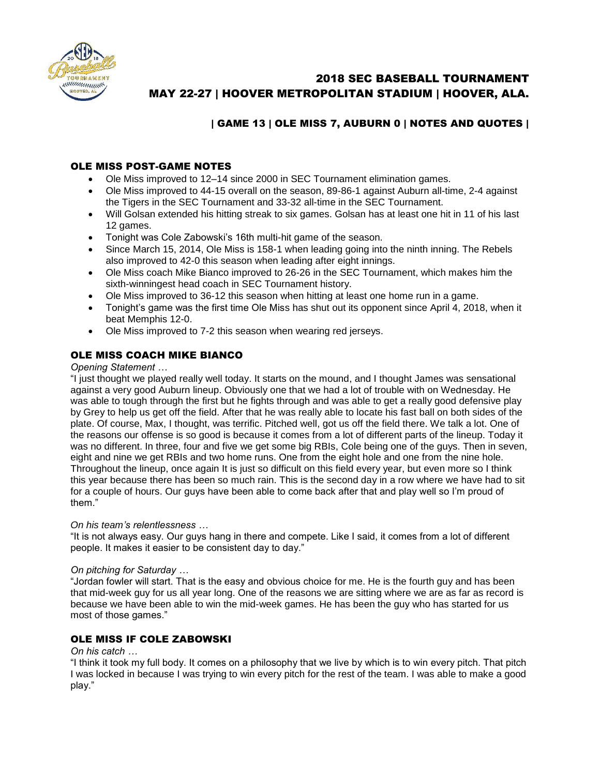

# 2018 SEC BASEBALL TOURNAMENT MAY 22-27 | HOOVER METROPOLITAN STADIUM | HOOVER, ALA.

## | GAME 13 | OLE MISS 7, AUBURN 0 | NOTES AND QUOTES |

## OLE MISS POST-GAME NOTES

- Ole Miss improved to 12–14 since 2000 in SEC Tournament elimination games.
- Ole Miss improved to 44-15 overall on the season, 89-86-1 against Auburn all-time, 2-4 against the Tigers in the SEC Tournament and 33-32 all-time in the SEC Tournament.
- Will Golsan extended his hitting streak to six games. Golsan has at least one hit in 11 of his last 12 games.
- Tonight was Cole Zabowski's 16th multi-hit game of the season.
- Since March 15, 2014, Ole Miss is 158-1 when leading going into the ninth inning. The Rebels also improved to 42-0 this season when leading after eight innings.
- Ole Miss coach Mike Bianco improved to 26-26 in the SEC Tournament, which makes him the sixth-winningest head coach in SEC Tournament history.
- Ole Miss improved to 36-12 this season when hitting at least one home run in a game.
- Tonight's game was the first time Ole Miss has shut out its opponent since April 4, 2018, when it beat Memphis 12-0.
- Ole Miss improved to 7-2 this season when wearing red jerseys.

## OLE MISS COACH MIKE BIANCO

#### *Opening Statement …*

"I just thought we played really well today. It starts on the mound, and I thought James was sensational against a very good Auburn lineup. Obviously one that we had a lot of trouble with on Wednesday. He was able to tough through the first but he fights through and was able to get a really good defensive play by Grey to help us get off the field. After that he was really able to locate his fast ball on both sides of the plate. Of course, Max, I thought, was terrific. Pitched well, got us off the field there. We talk a lot. One of the reasons our offense is so good is because it comes from a lot of different parts of the lineup. Today it was no different. In three, four and five we get some big RBIs, Cole being one of the guys. Then in seven, eight and nine we get RBIs and two home runs. One from the eight hole and one from the nine hole. Throughout the lineup, once again It is just so difficult on this field every year, but even more so I think this year because there has been so much rain. This is the second day in a row where we have had to sit for a couple of hours. Our guys have been able to come back after that and play well so I'm proud of them."

#### *On his team's relentlessness …*

"It is not always easy. Our guys hang in there and compete. Like I said, it comes from a lot of different people. It makes it easier to be consistent day to day."

#### *On pitching for Saturday …*

"Jordan fowler will start. That is the easy and obvious choice for me. He is the fourth guy and has been that mid-week guy for us all year long. One of the reasons we are sitting where we are as far as record is because we have been able to win the mid-week games. He has been the guy who has started for us most of those games."

### OLE MISS IF COLE ZABOWSKI

#### *On his catch …*

"I think it took my full body. It comes on a philosophy that we live by which is to win every pitch. That pitch I was locked in because I was trying to win every pitch for the rest of the team. I was able to make a good play."